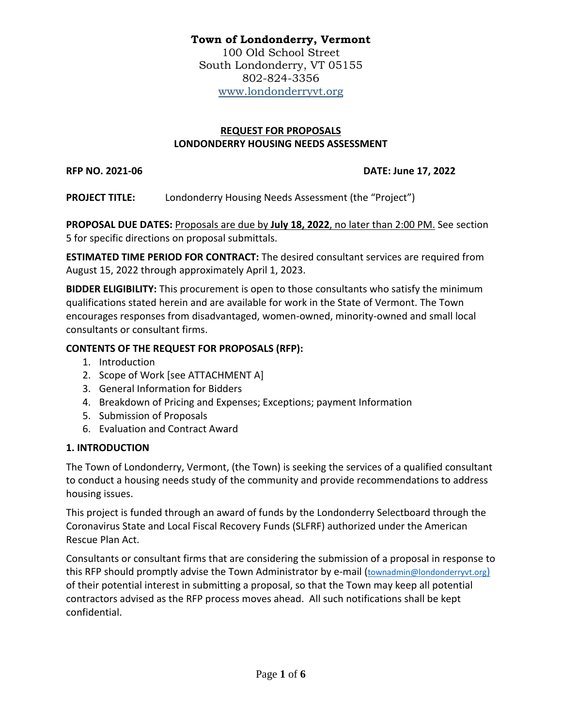# **Town of Londonderry, Vermont**

100 Old School Street South Londonderry, VT 05155 802-824-3356 [www.londonderryvt.org](http://www.londonderryvt.org/)

# **REQUEST FOR PROPOSALS LONDONDERRY HOUSING NEEDS ASSESSMENT**

### **RFP NO. 2021-06 DATE: June 17, 2022**

**PROJECT TITLE:** Londonderry Housing Needs Assessment (the "Project")

**PROPOSAL DUE DATES:** Proposals are due by **July 18, 2022**, no later than 2:00 PM. See section 5 for specific directions on proposal submittals.

**ESTIMATED TIME PERIOD FOR CONTRACT:** The desired consultant services are required from August 15, 2022 through approximately April 1, 2023.

**BIDDER ELIGIBILITY:** This procurement is open to those consultants who satisfy the minimum qualifications stated herein and are available for work in the State of Vermont. The Town encourages responses from disadvantaged, women-owned, minority-owned and small local consultants or consultant firms.

# **CONTENTS OF THE REQUEST FOR PROPOSALS (RFP):**

- 1. Introduction
- 2. Scope of Work [see ATTACHMENT A]
- 3. General Information for Bidders
- 4. Breakdown of Pricing and Expenses; Exceptions; payment Information
- 5. Submission of Proposals
- 6. Evaluation and Contract Award

# **1. INTRODUCTION**

The Town of Londonderry, Vermont, (the Town) is seeking the services of a qualified consultant to conduct a housing needs study of the community and provide recommendations to address housing issues.

This project is funded through an award of funds by the Londonderry Selectboard through the Coronavirus State and Local Fiscal Recovery Funds (SLFRF) authorized under the American Rescue Plan Act.

Consultants or consultant firms that are considering the submission of a proposal in response to this RFP should promptly advise the Town Administrator by e-mail ([townadmin@londonderryvt.org](mailto:townadmin@londerryvt.org))[\)](mailto:townadmin@londerryvt.org)) of their potential interest in submitting a proposal, so that the Town may keep all potential contractors advised as the RFP process moves ahead. All such notifications shall be kept confidential.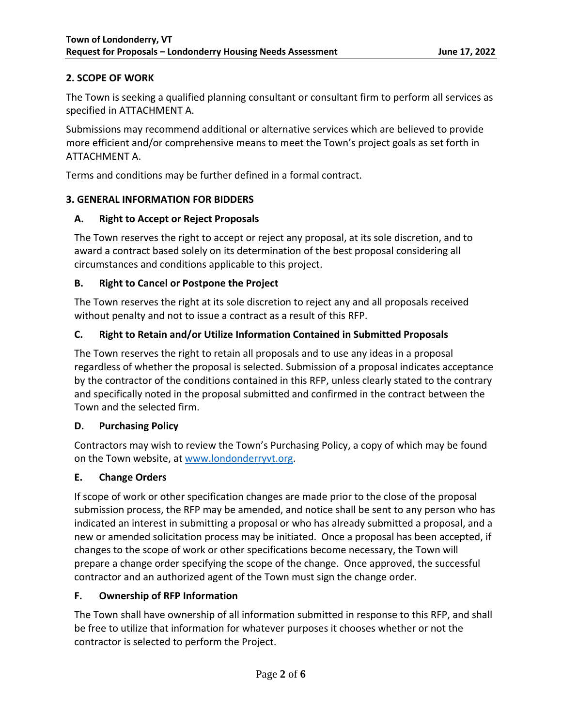# **2. SCOPE OF WORK**

The Town is seeking a qualified planning consultant or consultant firm to perform all services as specified in ATTACHMENT A.

Submissions may recommend additional or alternative services which are believed to provide more efficient and/or comprehensive means to meet the Town's project goals as set forth in ATTACHMENT A.

Terms and conditions may be further defined in a formal contract.

### **3. GENERAL INFORMATION FOR BIDDERS**

### **A. Right to Accept or Reject Proposals**

The Town reserves the right to accept or reject any proposal, at its sole discretion, and to award a contract based solely on its determination of the best proposal considering all circumstances and conditions applicable to this project.

# **B. Right to Cancel or Postpone the Project**

The Town reserves the right at its sole discretion to reject any and all proposals received without penalty and not to issue a contract as a result of this RFP.

# **C. Right to Retain and/or Utilize Information Contained in Submitted Proposals**

The Town reserves the right to retain all proposals and to use any ideas in a proposal regardless of whether the proposal is selected. Submission of a proposal indicates acceptance by the contractor of the conditions contained in this RFP, unless clearly stated to the contrary and specifically noted in the proposal submitted and confirmed in the contract between the Town and the selected firm.

# **D. Purchasing Policy**

Contractors may wish to review the Town's Purchasing Policy, a copy of which may be found on the Town website, at [www.londonderryvt.org.](http://www.londonderryvt.org/)

# **E. Change Orders**

If scope of work or other specification changes are made prior to the close of the proposal submission process, the RFP may be amended, and notice shall be sent to any person who has indicated an interest in submitting a proposal or who has already submitted a proposal, and a new or amended solicitation process may be initiated. Once a proposal has been accepted, if changes to the scope of work or other specifications become necessary, the Town will prepare a change order specifying the scope of the change. Once approved, the successful contractor and an authorized agent of the Town must sign the change order.

# **F. Ownership of RFP Information**

The Town shall have ownership of all information submitted in response to this RFP, and shall be free to utilize that information for whatever purposes it chooses whether or not the contractor is selected to perform the Project.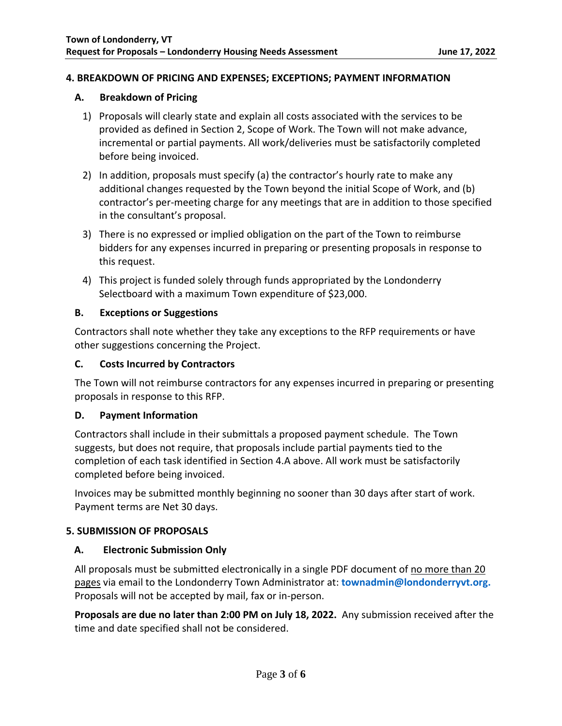#### **4. BREAKDOWN OF PRICING AND EXPENSES; EXCEPTIONS; PAYMENT INFORMATION**

#### **A. Breakdown of Pricing**

- 1) Proposals will clearly state and explain all costs associated with the services to be provided as defined in Section 2, Scope of Work. The Town will not make advance, incremental or partial payments. All work/deliveries must be satisfactorily completed before being invoiced.
- 2) In addition, proposals must specify (a) the contractor's hourly rate to make any additional changes requested by the Town beyond the initial Scope of Work, and (b) contractor's per-meeting charge for any meetings that are in addition to those specified in the consultant's proposal.
- 3) There is no expressed or implied obligation on the part of the Town to reimburse bidders for any expenses incurred in preparing or presenting proposals in response to this request.
- 4) This project is funded solely through funds appropriated by the Londonderry Selectboard with a maximum Town expenditure of \$23,000.

### **B. Exceptions or Suggestions**

Contractors shall note whether they take any exceptions to the RFP requirements or have other suggestions concerning the Project.

#### **C. Costs Incurred by Contractors**

The Town will not reimburse contractors for any expenses incurred in preparing or presenting proposals in response to this RFP.

### **D. Payment Information**

Contractors shall include in their submittals a proposed payment schedule. The Town suggests, but does not require, that proposals include partial payments tied to the completion of each task identified in Section 4.A above. All work must be satisfactorily completed before being invoiced.

Invoices may be submitted monthly beginning no sooner than 30 days after start of work. Payment terms are Net 30 days.

### **5. SUBMISSION OF PROPOSALS**

### **A. Electronic Submission Only**

All proposals must be submitted electronically in a single PDF document of no more than 20 pages via email to the Londonderry Town Administrator at: **[townadmin@londonderryvt.org.](mailto:townadmin@londonderryvt.org)** Proposals will not be accepted by mail, fax or in-person.

**Proposals are due no later than 2:00 PM on July 18, 2022.** Any submission received after the time and date specified shall not be considered.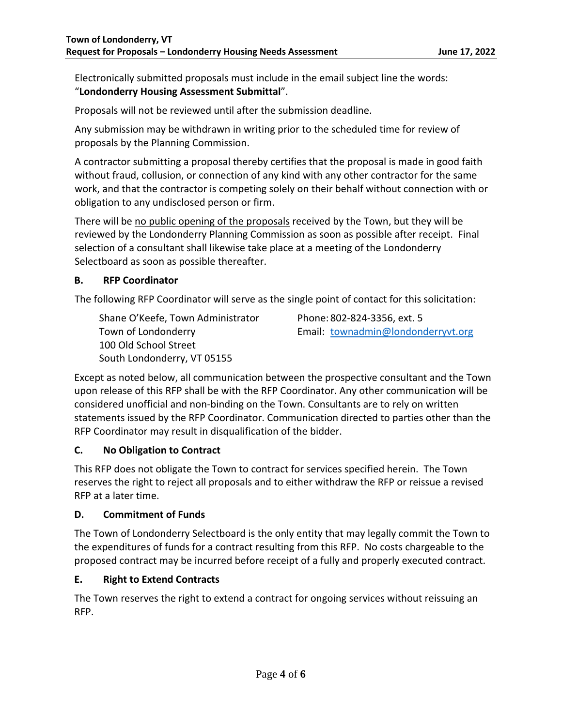Electronically submitted proposals must include in the email subject line the words: "**Londonderry Housing Assessment Submittal**".

Proposals will not be reviewed until after the submission deadline.

Any submission may be withdrawn in writing prior to the scheduled time for review of proposals by the Planning Commission.

A contractor submitting a proposal thereby certifies that the proposal is made in good faith without fraud, collusion, or connection of any kind with any other contractor for the same work, and that the contractor is competing solely on their behalf without connection with or obligation to any undisclosed person or firm.

There will be no public opening of the proposals received by the Town, but they will be reviewed by the Londonderry Planning Commission as soon as possible after receipt. Final selection of a consultant shall likewise take place at a meeting of the Londonderry Selectboard as soon as possible thereafter.

### **B. RFP Coordinator**

The following RFP Coordinator will serve as the single point of contact for this solicitation:

Shane O'Keefe, Town Administrator Phone: 802-824-3356, ext. 5 100 Old School Street South Londonderry, VT 05155

Town of Londonderry Email: [townadmin@londonderryvt.org](mailto:townadmin@londonderryvt.org)

Except as noted below, all communication between the prospective consultant and the Town upon release of this RFP shall be with the RFP Coordinator. Any other communication will be considered unofficial and non-binding on the Town. Consultants are to rely on written statements issued by the RFP Coordinator. Communication directed to parties other than the RFP Coordinator may result in disqualification of the bidder.

### **C. No Obligation to Contract**

This RFP does not obligate the Town to contract for services specified herein. The Town reserves the right to reject all proposals and to either withdraw the RFP or reissue a revised RFP at a later time.

### **D. Commitment of Funds**

The Town of Londonderry Selectboard is the only entity that may legally commit the Town to the expenditures of funds for a contract resulting from this RFP. No costs chargeable to the proposed contract may be incurred before receipt of a fully and properly executed contract.

# **E. Right to Extend Contracts**

The Town reserves the right to extend a contract for ongoing services without reissuing an RFP.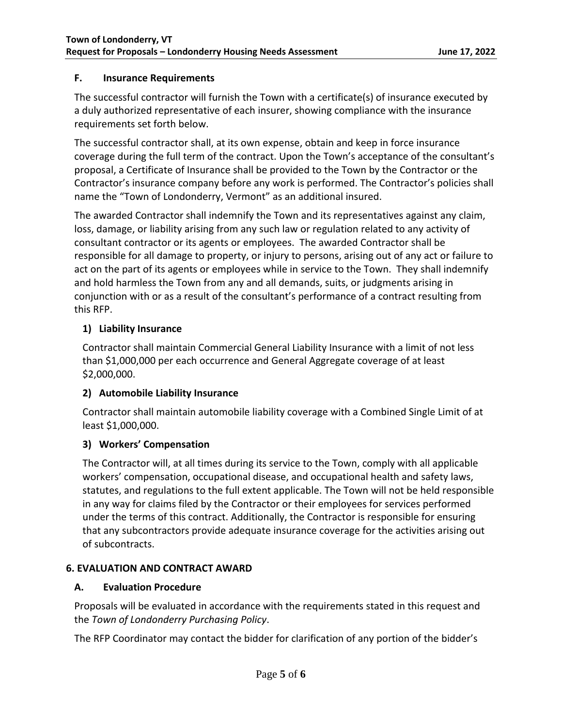# **F. Insurance Requirements**

The successful contractor will furnish the Town with a certificate(s) of insurance executed by a duly authorized representative of each insurer, showing compliance with the insurance requirements set forth below.

The successful contractor shall, at its own expense, obtain and keep in force insurance coverage during the full term of the contract. Upon the Town's acceptance of the consultant's proposal, a Certificate of Insurance shall be provided to the Town by the Contractor or the Contractor's insurance company before any work is performed. The Contractor's policies shall name the "Town of Londonderry, Vermont" as an additional insured.

The awarded Contractor shall indemnify the Town and its representatives against any claim, loss, damage, or liability arising from any such law or regulation related to any activity of consultant contractor or its agents or employees. The awarded Contractor shall be responsible for all damage to property, or injury to persons, arising out of any act or failure to act on the part of its agents or employees while in service to the Town. They shall indemnify and hold harmless the Town from any and all demands, suits, or judgments arising in conjunction with or as a result of the consultant's performance of a contract resulting from this RFP.

# **1) Liability Insurance**

Contractor shall maintain Commercial General Liability Insurance with a limit of not less than \$1,000,000 per each occurrence and General Aggregate coverage of at least \$2,000,000.

# **2) Automobile Liability Insurance**

Contractor shall maintain automobile liability coverage with a Combined Single Limit of at least \$1,000,000.

# **3) Workers' Compensation**

The Contractor will, at all times during its service to the Town, comply with all applicable workers' compensation, occupational disease, and occupational health and safety laws, statutes, and regulations to the full extent applicable. The Town will not be held responsible in any way for claims filed by the Contractor or their employees for services performed under the terms of this contract. Additionally, the Contractor is responsible for ensuring that any subcontractors provide adequate insurance coverage for the activities arising out of subcontracts.

### **6. EVALUATION AND CONTRACT AWARD**

### **A. Evaluation Procedure**

Proposals will be evaluated in accordance with the requirements stated in this request and the *Town of Londonderry Purchasing Policy*.

The RFP Coordinator may contact the bidder for clarification of any portion of the bidder's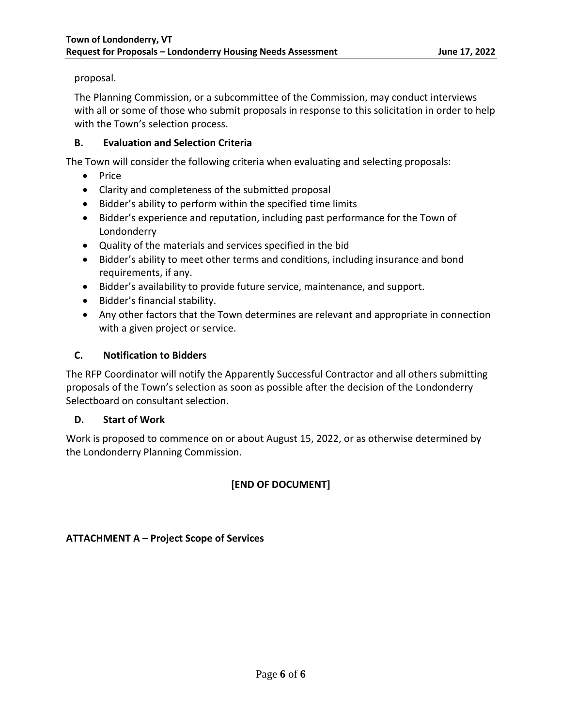### proposal.

The Planning Commission, or a subcommittee of the Commission, may conduct interviews with all or some of those who submit proposals in response to this solicitation in order to help with the Town's selection process.

### **B. Evaluation and Selection Criteria**

The Town will consider the following criteria when evaluating and selecting proposals:

- Price
- Clarity and completeness of the submitted proposal
- Bidder's ability to perform within the specified time limits
- Bidder's experience and reputation, including past performance for the Town of Londonderry
- Quality of the materials and services specified in the bid
- Bidder's ability to meet other terms and conditions, including insurance and bond requirements, if any.
- Bidder's availability to provide future service, maintenance, and support.
- Bidder's financial stability.
- Any other factors that the Town determines are relevant and appropriate in connection with a given project or service.

# **C. Notification to Bidders**

The RFP Coordinator will notify the Apparently Successful Contractor and all others submitting proposals of the Town's selection as soon as possible after the decision of the Londonderry Selectboard on consultant selection.

### **D. Start of Work**

Work is proposed to commence on or about August 15, 2022, or as otherwise determined by the Londonderry Planning Commission.

# **[END OF DOCUMENT]**

**ATTACHMENT A – Project Scope of Services**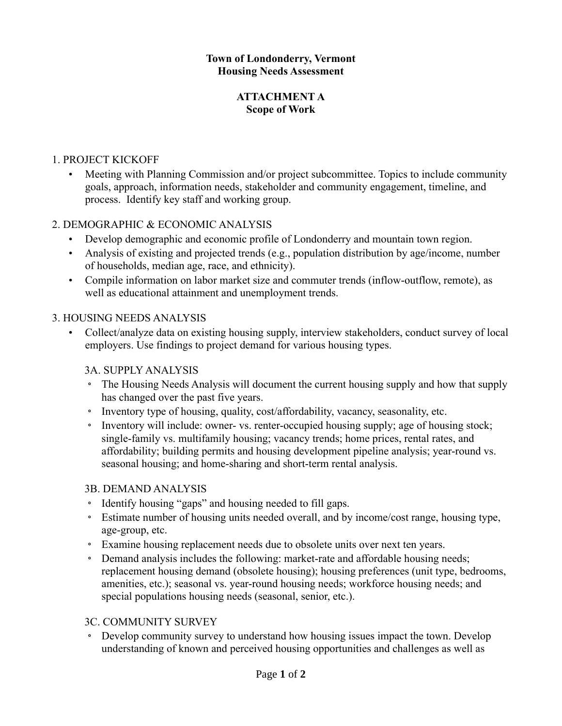### **Town of Londonderry, Vermont Housing Needs Assessment**

### **ATTACHMENT A Scope of Work**

# 1. PROJECT KICKOFF

• Meeting with Planning Commission and/or project subcommittee. Topics to include community goals, approach, information needs, stakeholder and community engagement, timeline, and process. Identify key staff and working group.

# 2. DEMOGRAPHIC & ECONOMIC ANALYSIS

- Develop demographic and economic profile of Londonderry and mountain town region.
- Analysis of existing and projected trends (e.g., population distribution by age/income, number of households, median age, race, and ethnicity).
- Compile information on labor market size and commuter trends (inflow-outflow, remote), as well as educational attainment and unemployment trends.

# 3. HOUSING NEEDS ANALYSIS

• Collect/analyze data on existing housing supply, interview stakeholders, conduct survey of local employers. Use findings to project demand for various housing types.

# 3A. SUPPLY ANALYSIS

- The Housing Needs Analysis will document the current housing supply and how that supply has changed over the past five years.
- Inventory type of housing, quality, cost/affordability, vacancy, seasonality, etc.
- Inventory will include: owner- vs. renter-occupied housing supply; age of housing stock; single-family vs. multifamily housing; vacancy trends; home prices, rental rates, and affordability; building permits and housing development pipeline analysis; year-round vs. seasonal housing; and home-sharing and short-term rental analysis.

# 3B. DEMAND ANALYSIS

- Identify housing "gaps" and housing needed to fill gaps.
- Estimate number of housing units needed overall, and by income/cost range, housing type, age-group, etc.
- Examine housing replacement needs due to obsolete units over next ten years.
- Demand analysis includes the following: market-rate and affordable housing needs; replacement housing demand (obsolete housing); housing preferences (unit type, bedrooms, amenities, etc.); seasonal vs. year-round housing needs; workforce housing needs; and special populations housing needs (seasonal, senior, etc.).

# 3C. COMMUNITY SURVEY

• Develop community survey to understand how housing issues impact the town. Develop understanding of known and perceived housing opportunities and challenges as well as